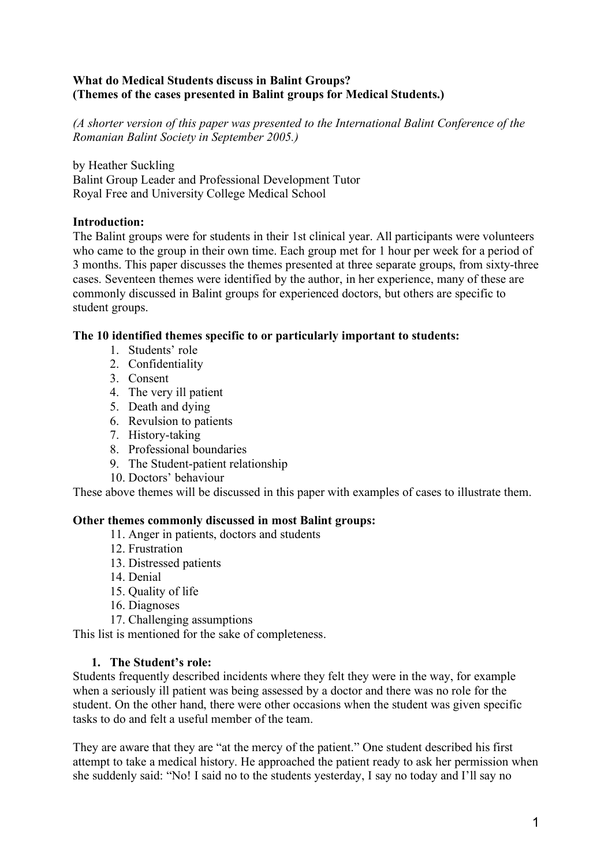# **What do Medical Students discuss in Balint Groups? (Themes of the cases presented in Balint groups for Medical Students.)**

*(A shorter version of this paper was presented to the International Balint Conference of the Romanian Balint Society in September 2005.)*

by Heather Suckling Balint Group Leader and Professional Development Tutor Royal Free and University College Medical School

# **Introduction:**

The Balint groups were for students in their 1st clinical year. All participants were volunteers who came to the group in their own time. Each group met for 1 hour per week for a period of 3 months. This paper discusses the themes presented at three separate groups, from sixty-three cases. Seventeen themes were identified by the author, in her experience, many of these are commonly discussed in Balint groups for experienced doctors, but others are specific to student groups.

# **The 10 identified themes specific to or particularly important to students:**

- 1. Students' role
- 2. Confidentiality
- 3. Consent
- 4. The very ill patient
- 5. Death and dying
- 6. Revulsion to patients
- 7. History-taking
- 8. Professional boundaries
- 9. The Student-patient relationship
- 10. Doctors' behaviour

These above themes will be discussed in this paper with examples of cases to illustrate them.

## **Other themes commonly discussed in most Balint groups:**

- 11. Anger in patients, doctors and students
- 12. Frustration
- 13. Distressed patients
- 14. Denial
- 15. Quality of life
- 16. Diagnoses
- 17. Challenging assumptions

This list is mentioned for the sake of completeness.

## **1. The Student's role:**

Students frequently described incidents where they felt they were in the way, for example when a seriously ill patient was being assessed by a doctor and there was no role for the student. On the other hand, there were other occasions when the student was given specific tasks to do and felt a useful member of the team.

They are aware that they are "at the mercy of the patient." One student described his first attempt to take a medical history. He approached the patient ready to ask her permission when she suddenly said: "No! I said no to the students yesterday, I say no today and I'll say no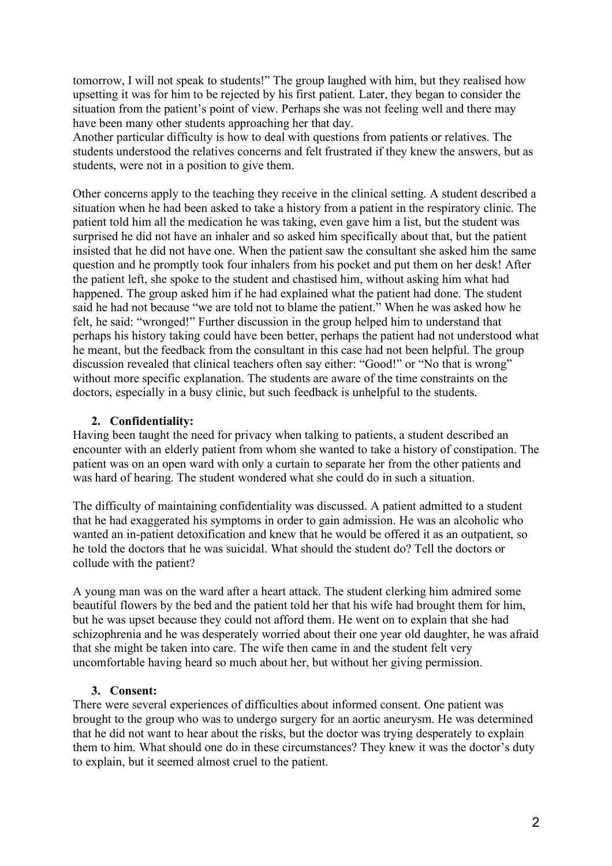tomorrow, I will not speak to students!" The group laughed with him, but they realised how upsetting it was for him to be rejected by his first patient. Later, they began to consider the situation from the patient's point of view. Perhaps she was not feeling well and there may have been many other students approaching her that day.

Another particular difficulty is how to deal with questions from patients or relatives. The students understood the relatives concerns and felt frustrated if they knew the answers, but as students, were not in a position to give them.

Other concerns apply to the teaching they receive in the clinical setting. A student described a situation when he had been asked to take a history from a patient in the respiratory clinic. The patient told him all the medication he was taking, even gave him a list, but the student was surprised he did not have an inhaler and so asked him specifically about that, but the patient insisted that he did not have one. When the patient saw the consultant she asked him the same question and he promptly took four inhalers from his pocket and put them on her desk! After the patient left, she spoke to the student and chastised him, without asking him what had happened. The group asked him if he had explained what the patient had done. The student said he had not because "we are told not to blame the patient." When he was asked how he felt, he said: "wronged!" Further discussion in the group helped him to understand that perhaps his history taking could have been better, perhaps the patient had not understood what he meant, but the feedback from the consultant in this case had not been helpful. The group discussion revealed that clinical teachers often say either: "Good!" or "No that is wrong" without more specific explanation. The students are aware of the time constraints on the doctors, especially in a busy clinic, but such feedback is unhelpful to the students.

# **2. Confidentiality:**

Having been taught the need for privacy when talking to patients, a student described an encounter with an elderly patient from whom she wanted to take a history of constipation. The patient was on an open ward with only a curtain to separate her from the other patients and was hard of hearing. The student wondered what she could do in such a situation.

The difficulty of maintaining confidentiality was discussed. A patient admitted to a student that he had exaggerated his symptoms in order to gain admission. He was an alcoholic who wanted an in-patient detoxification and knew that he would be offered it as an outpatient, so he told the doctors that he was suicidal. What should the student do? Tell the doctors or collude with the patient?

A young man was on the ward after a heart attack. The student clerking him admired some beautiful flowers by the bed and the patient told her that his wife had brought them for him, but he was upset because they could not afford them. He went on to explain that she had schizophrenia and he was desperately worried about their one year old daughter, he was afraid that she might be taken into care. The wife then came in and the student felt very uncomfortable having heard so much about her, but without her giving permission.

## **3. Consent:**

There were several experiences of difficulties about informed consent. One patient was brought to the group who was to undergo surgery for an aortic aneurysm. He was determined that he did not want to hear about the risks, but the doctor was trying desperately to explain them to him. What should one do in these circumstances? They knew it was the doctor's duty to explain, but it seemed almost cruel to the patient.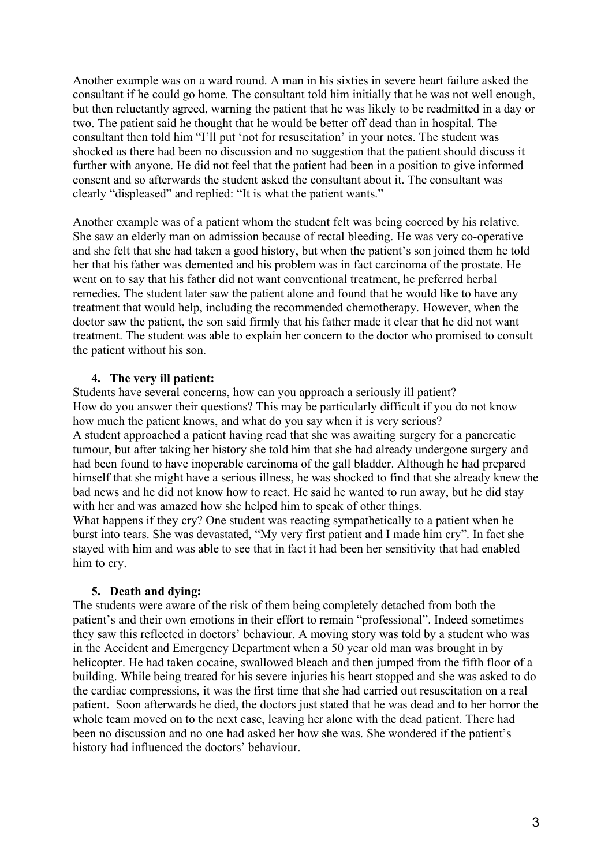Another example was on a ward round. A man in his sixties in severe heart failure asked the consultant if he could go home. The consultant told him initially that he was not well enough, but then reluctantly agreed, warning the patient that he was likely to be readmitted in a day or two. The patient said he thought that he would be better off dead than in hospital. The consultant then told him "I'll put 'not for resuscitation' in your notes. The student was shocked as there had been no discussion and no suggestion that the patient should discuss it further with anyone. He did not feel that the patient had been in a position to give informed consent and so afterwards the student asked the consultant about it. The consultant was clearly "displeased" and replied: "It is what the patient wants."

Another example was of a patient whom the student felt was being coerced by his relative. She saw an elderly man on admission because of rectal bleeding. He was very co-operative and she felt that she had taken a good history, but when the patient's son joined them he told her that his father was demented and his problem was in fact carcinoma of the prostate. He went on to say that his father did not want conventional treatment, he preferred herbal remedies. The student later saw the patient alone and found that he would like to have any treatment that would help, including the recommended chemotherapy. However, when the doctor saw the patient, the son said firmly that his father made it clear that he did not want treatment. The student was able to explain her concern to the doctor who promised to consult the patient without his son.

#### **4. The very ill patient:**

Students have several concerns, how can you approach a seriously ill patient? How do you answer their questions? This may be particularly difficult if you do not know how much the patient knows, and what do you say when it is very serious? A student approached a patient having read that she was awaiting surgery for a pancreatic tumour, but after taking her history she told him that she had already undergone surgery and had been found to have inoperable carcinoma of the gall bladder. Although he had prepared himself that she might have a serious illness, he was shocked to find that she already knew the bad news and he did not know how to react. He said he wanted to run away, but he did stay with her and was amazed how she helped him to speak of other things. What happens if they cry? One student was reacting sympathetically to a patient when he

burst into tears. She was devastated, "My very first patient and I made him cry". In fact she stayed with him and was able to see that in fact it had been her sensitivity that had enabled him to cry.

## **5. Death and dying:**

The students were aware of the risk of them being completely detached from both the patient's and their own emotions in their effort to remain "professional". Indeed sometimes they saw this reflected in doctors' behaviour. A moving story was told by a student who was in the Accident and Emergency Department when a 50 year old man was brought in by helicopter. He had taken cocaine, swallowed bleach and then jumped from the fifth floor of a building. While being treated for his severe injuries his heart stopped and she was asked to do the cardiac compressions, it was the first time that she had carried out resuscitation on a real patient. Soon afterwards he died, the doctors just stated that he was dead and to her horror the whole team moved on to the next case, leaving her alone with the dead patient. There had been no discussion and no one had asked her how she was. She wondered if the patient's history had influenced the doctors' behaviour.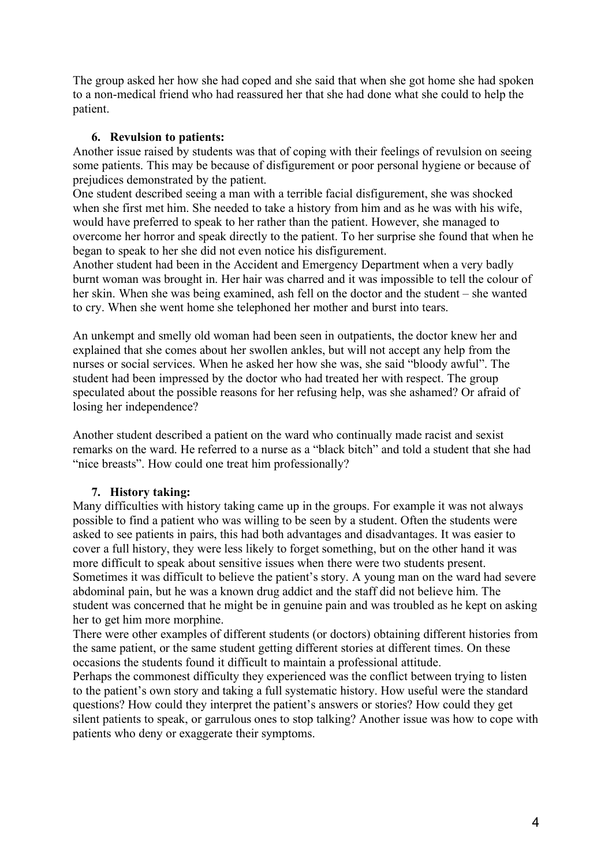The group asked her how she had coped and she said that when she got home she had spoken to a non-medical friend who had reassured her that she had done what she could to help the patient.

#### **6. Revulsion to patients:**

Another issue raised by students was that of coping with their feelings of revulsion on seeing some patients. This may be because of disfigurement or poor personal hygiene or because of prejudices demonstrated by the patient.

One student described seeing a man with a terrible facial disfigurement, she was shocked when she first met him. She needed to take a history from him and as he was with his wife, would have preferred to speak to her rather than the patient. However, she managed to overcome her horror and speak directly to the patient. To her surprise she found that when he began to speak to her she did not even notice his disfigurement.

Another student had been in the Accident and Emergency Department when a very badly burnt woman was brought in. Her hair was charred and it was impossible to tell the colour of her skin. When she was being examined, ash fell on the doctor and the student – she wanted to cry. When she went home she telephoned her mother and burst into tears.

An unkempt and smelly old woman had been seen in outpatients, the doctor knew her and explained that she comes about her swollen ankles, but will not accept any help from the nurses or social services. When he asked her how she was, she said "bloody awful". The student had been impressed by the doctor who had treated her with respect. The group speculated about the possible reasons for her refusing help, was she ashamed? Or afraid of losing her independence?

Another student described a patient on the ward who continually made racist and sexist remarks on the ward. He referred to a nurse as a "black bitch" and told a student that she had "nice breasts". How could one treat him professionally?

## **7. History taking:**

Many difficulties with history taking came up in the groups. For example it was not always possible to find a patient who was willing to be seen by a student. Often the students were asked to see patients in pairs, this had both advantages and disadvantages. It was easier to cover a full history, they were less likely to forget something, but on the other hand it was more difficult to speak about sensitive issues when there were two students present. Sometimes it was difficult to believe the patient's story. A young man on the ward had severe abdominal pain, but he was a known drug addict and the staff did not believe him. The student was concerned that he might be in genuine pain and was troubled as he kept on asking her to get him more morphine.

There were other examples of different students (or doctors) obtaining different histories from the same patient, or the same student getting different stories at different times. On these occasions the students found it difficult to maintain a professional attitude.

Perhaps the commonest difficulty they experienced was the conflict between trying to listen to the patient's own story and taking a full systematic history. How useful were the standard questions? How could they interpret the patient's answers or stories? How could they get silent patients to speak, or garrulous ones to stop talking? Another issue was how to cope with patients who deny or exaggerate their symptoms.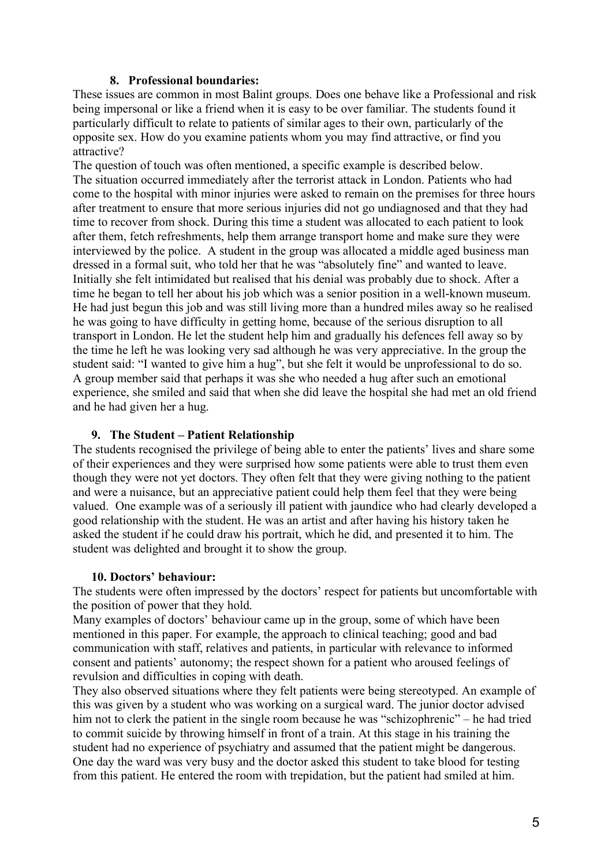## **8. Professional boundaries:**

These issues are common in most Balint groups. Does one behave like a Professional and risk being impersonal or like a friend when it is easy to be over familiar. The students found it particularly difficult to relate to patients of similar ages to their own, particularly of the opposite sex. How do you examine patients whom you may find attractive, or find you attractive?

The question of touch was often mentioned, a specific example is described below. The situation occurred immediately after the terrorist attack in London. Patients who had come to the hospital with minor injuries were asked to remain on the premises for three hours after treatment to ensure that more serious injuries did not go undiagnosed and that they had time to recover from shock. During this time a student was allocated to each patient to look after them, fetch refreshments, help them arrange transport home and make sure they were interviewed by the police. A student in the group was allocated a middle aged business man dressed in a formal suit, who told her that he was "absolutely fine" and wanted to leave. Initially she felt intimidated but realised that his denial was probably due to shock. After a time he began to tell her about his job which was a senior position in a well-known museum. He had just begun this job and was still living more than a hundred miles away so he realised he was going to have difficulty in getting home, because of the serious disruption to all transport in London. He let the student help him and gradually his defences fell away so by the time he left he was looking very sad although he was very appreciative. In the group the student said: "I wanted to give him a hug", but she felt it would be unprofessional to do so. A group member said that perhaps it was she who needed a hug after such an emotional experience, she smiled and said that when she did leave the hospital she had met an old friend and he had given her a hug.

#### **9. The Student – Patient Relationship**

The students recognised the privilege of being able to enter the patients' lives and share some of their experiences and they were surprised how some patients were able to trust them even though they were not yet doctors. They often felt that they were giving nothing to the patient and were a nuisance, but an appreciative patient could help them feel that they were being valued. One example was of a seriously ill patient with jaundice who had clearly developed a good relationship with the student. He was an artist and after having his history taken he asked the student if he could draw his portrait, which he did, and presented it to him. The student was delighted and brought it to show the group.

#### **10. Doctors' behaviour:**

The students were often impressed by the doctors' respect for patients but uncomfortable with the position of power that they hold.

Many examples of doctors' behaviour came up in the group, some of which have been mentioned in this paper. For example, the approach to clinical teaching; good and bad communication with staff, relatives and patients, in particular with relevance to informed consent and patients' autonomy; the respect shown for a patient who aroused feelings of revulsion and difficulties in coping with death.

They also observed situations where they felt patients were being stereotyped. An example of this was given by a student who was working on a surgical ward. The junior doctor advised him not to clerk the patient in the single room because he was "schizophrenic" – he had tried to commit suicide by throwing himself in front of a train. At this stage in his training the student had no experience of psychiatry and assumed that the patient might be dangerous. One day the ward was very busy and the doctor asked this student to take blood for testing from this patient. He entered the room with trepidation, but the patient had smiled at him.